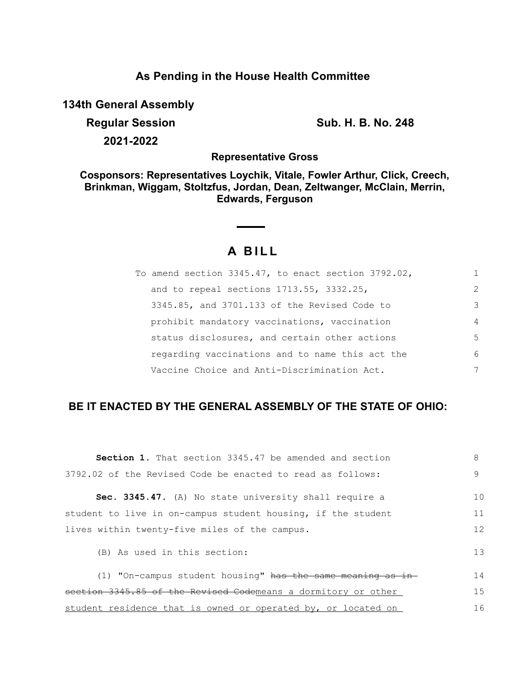## **As Pending in the House Health Committee**

**134th General Assembly**

**Regular Session Sub. H. B. No. 248 2021-2022**

**Representative Gross**

**Cosponsors: Representatives Loychik, Vitale, Fowler Arthur, Click, Creech, Brinkman, Wiggam, Stoltzfus, Jordan, Dean, Zeltwanger, McClain, Merrin, Edwards, Ferguson**

## **A B I L L**

| To amend section $3345.47$ , to enact section $3792.02$ , |                |
|-----------------------------------------------------------|----------------|
| and to repeal sections 1713.55, 3332.25,                  | $\mathcal{L}$  |
| 3345.85, and 3701.133 of the Revised Code to              | 3              |
| prohibit mandatory vaccinations, vaccination              | $\overline{4}$ |
| status disclosures, and certain other actions             | 5              |
| regarding vaccinations and to name this act the           | 6              |
| Vaccine Choice and Anti-Discrimination Act.               | 7              |

## **BE IT ENACTED BY THE GENERAL ASSEMBLY OF THE STATE OF OHIO:**

| <b>Section 1.</b> That section 3345.47 be amended and section | 8  |
|---------------------------------------------------------------|----|
| 3792.02 of the Revised Code be enacted to read as follows:    | 9  |
| Sec. 3345.47. (A) No state university shall require a         | 10 |
| student to live in on-campus student housing, if the student  | 11 |
| lives within twenty-five miles of the campus.                 | 12 |
| (B) As used in this section:                                  | 13 |
| $(1)$ "On-campus student housing" has the same meaning as in- | 14 |
| section 3345.85 of the Revised Codemeans a dormitory or other | 15 |
| student residence that is owned or operated by, or located on | 16 |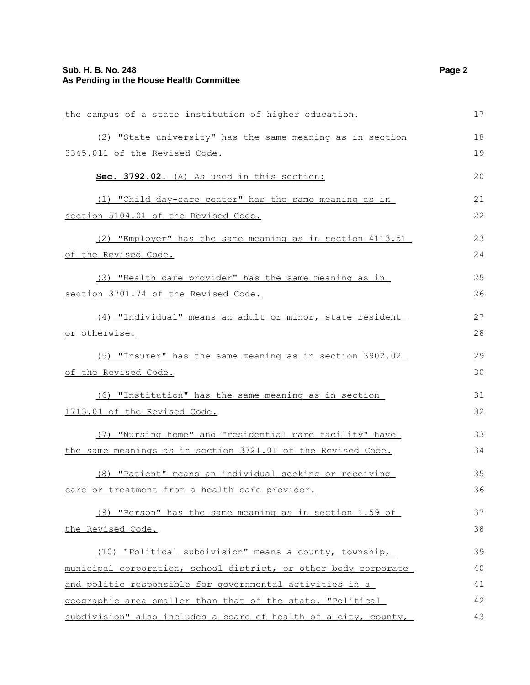| the campus of a state institution of higher education.          | 17 |
|-----------------------------------------------------------------|----|
| (2) "State university" has the same meaning as in section       | 18 |
| 3345.011 of the Revised Code.                                   | 19 |
| Sec. 3792.02. (A) As used in this section:                      | 20 |
| (1) "Child day-care center" has the same meaning as in          | 21 |
| section 5104.01 of the Revised Code.                            | 22 |
| (2) "Employer" has the same meaning as in section 4113.51       | 23 |
| of the Revised Code.                                            | 24 |
| (3) "Health care provider" has the same meaning as in           | 25 |
| section 3701.74 of the Revised Code.                            | 26 |
| (4) "Individual" means an adult or minor, state resident        | 27 |
| or otherwise.                                                   | 28 |
| (5) "Insurer" has the same meaning as in section 3902.02        | 29 |
| of the Revised Code.                                            | 30 |
| (6) "Institution" has the same meaning as in section            | 31 |
| 1713.01 of the Revised Code.                                    | 32 |
| (7) "Nursing home" and "residential care facility" have         | 33 |
| the same meanings as in section 3721.01 of the Revised Code.    | 34 |
| (8) "Patient" means an individual seeking or receiving          | 35 |
| care or treatment from a health care provider.                  | 36 |
| (9) "Person" has the same meaning as in section 1.59 of         | 37 |
| the Revised Code.                                               | 38 |
| (10) "Political subdivision" means a county, township,          | 39 |
| municipal corporation, school district, or other body corporate | 40 |
| and politic responsible for governmental activities in a        | 41 |
| geographic area smaller than that of the state. "Political      | 42 |
| subdivision" also includes a board of health of a city, county, | 43 |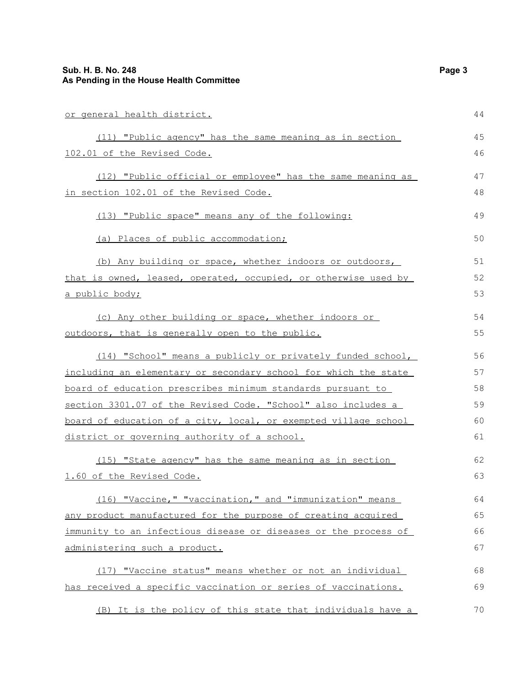| or general health district.                                     | 44 |
|-----------------------------------------------------------------|----|
| (11) "Public agency" has the same meaning as in section         | 45 |
| 102.01 of the Revised Code.                                     | 46 |
| (12) "Public official or employee" has the same meaning as      | 47 |
| in section 102.01 of the Revised Code.                          | 48 |
| (13) "Public space" means any of the following:                 | 49 |
| (a) Places of public accommodation;                             | 50 |
| (b) Any building or space, whether indoors or outdoors,         | 51 |
| that is owned, leased, operated, occupied, or otherwise used by | 52 |
| <u>a public body;</u>                                           | 53 |
| (c) Any other building or space, whether indoors or             | 54 |
| outdoors, that is generally open to the public.                 | 55 |
| (14) "School" means a publicly or privately funded school,      | 56 |
| including an elementary or secondary school for which the state | 57 |
| board of education prescribes minimum standards pursuant to     | 58 |
| section 3301.07 of the Revised Code. "School" also includes a   | 59 |
| board of education of a city, local, or exempted village school | 60 |
| district or governing authority of a school.                    | 61 |
| (15) "State agency" has the same meaning as in section          | 62 |
| 1.60 of the Revised Code.                                       | 63 |
| (16) "Vaccine," "vaccination," and "immunization" means         | 64 |
| any product manufactured for the purpose of creating acquired   | 65 |
| immunity to an infectious disease or diseases or the process of | 66 |
| administering such a product.                                   | 67 |
| (17) "Vaccine status" means whether or not an individual        | 68 |
| has received a specific vaccination or series of vaccinations.  | 69 |
| (B) It is the policy of this state that individuals have a      | 70 |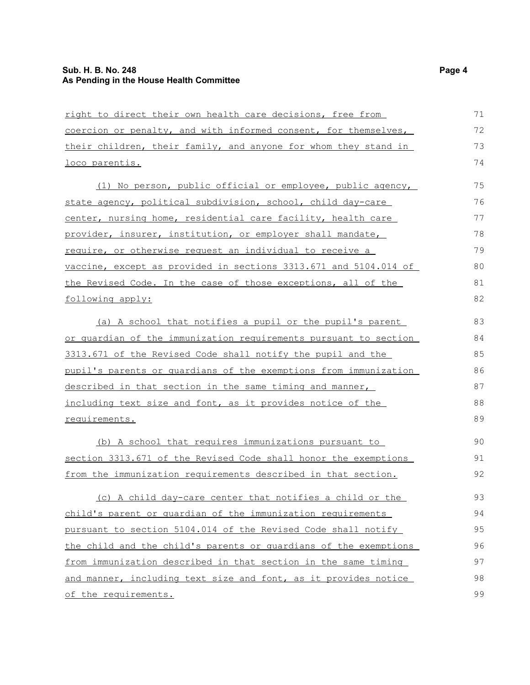| right to direct their own health care decisions, free from       | 71 |
|------------------------------------------------------------------|----|
| coercion or penalty, and with informed consent, for themselves,  | 72 |
| their children, their family, and anyone for whom they stand in  | 73 |
| loco parentis.                                                   | 74 |
| (1) No person, public official or employee, public agency,       | 75 |
| state agency, political subdivision, school, child day-care      | 76 |
| center, nursing home, residential care facility, health care     | 77 |
| provider, insurer, institution, or employer shall mandate,       | 78 |
| require, or otherwise request an individual to receive a         | 79 |
| vaccine, except as provided in sections 3313.671 and 5104.014 of | 80 |
| the Revised Code. In the case of those exceptions, all of the    | 81 |
| following apply:                                                 | 82 |
| (a) A school that notifies a pupil or the pupil's parent         | 83 |
| or quardian of the immunization requirements pursuant to section | 84 |
| 3313.671 of the Revised Code shall notify the pupil and the      | 85 |
| pupil's parents or quardians of the exemptions from immunization | 86 |
| described in that section in the same timing and manner,         | 87 |
| including text size and font, as it provides notice of the       | 88 |
| requirements.                                                    | 89 |
| (b) A school that requires immunizations pursuant to             | 90 |
| section 3313.671 of the Revised Code shall honor the exemptions  | 91 |
| from the immunization requirements described in that section.    | 92 |
| (c) A child day-care center that notifies a child or the         | 93 |
| child's parent or quardian of the immunization requirements      | 94 |
| pursuant to section 5104.014 of the Revised Code shall notify    | 95 |
| the child and the child's parents or quardians of the exemptions | 96 |
| from immunization described in that section in the same timing   | 97 |
| and manner, including text size and font, as it provides notice  | 98 |
| of the requirements.                                             | 99 |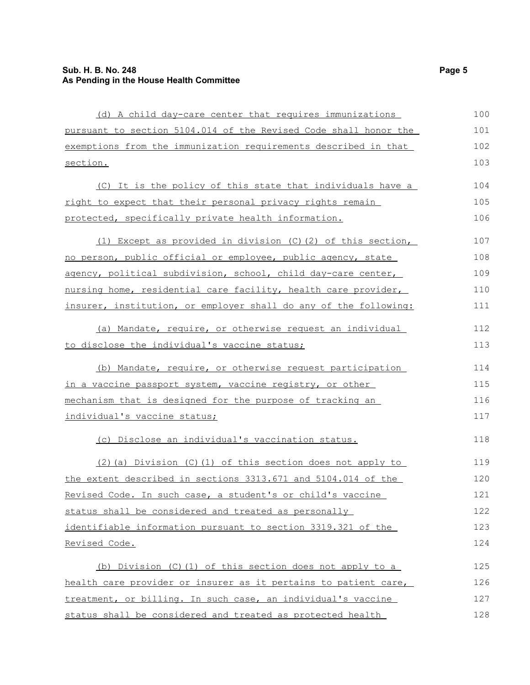| (d) A child day-care center that requires immunizations          | 100 |
|------------------------------------------------------------------|-----|
| pursuant to section 5104.014 of the Revised Code shall honor the | 101 |
| exemptions from the immunization requirements described in that  | 102 |
| section.                                                         | 103 |
| (C) It is the policy of this state that individuals have a       | 104 |
| right to expect that their personal privacy rights remain        | 105 |
| protected, specifically private health information.              | 106 |
| (1) Except as provided in division (C)(2) of this section,       | 107 |
| no person, public official or employee, public agency, state     | 108 |
| agency, political subdivision, school, child day-care center,    | 109 |
| nursing home, residential care facility, health care provider,   | 110 |
| insurer, institution, or employer shall do any of the following: | 111 |
| (a) Mandate, require, or otherwise request an individual         | 112 |
| to disclose the individual's vaccine status;                     | 113 |
| (b) Mandate, require, or otherwise request participation         | 114 |
| in a vaccine passport system, vaccine registry, or other         | 115 |
| mechanism that is designed for the purpose of tracking an        | 116 |
| individual's vaccine status;                                     | 117 |
| (c) Disclose an individual's vaccination status.                 | 118 |
| $(2)$ (a) Division (C) (1) of this section does not apply to     | 119 |
| the extent described in sections 3313.671 and 5104.014 of the    | 120 |
| Revised Code. In such case, a student's or child's vaccine       | 121 |
| status shall be considered and treated as personally             | 122 |
| identifiable information pursuant to section 3319.321 of the     | 123 |
| Revised Code.                                                    | 124 |
| (b) Division (C)(1) of this section does not apply to a          | 125 |
| health care provider or insurer as it pertains to patient care,  | 126 |
| treatment, or billing. In such case, an individual's vaccine     | 127 |
| status shall be considered and treated as protected health       | 128 |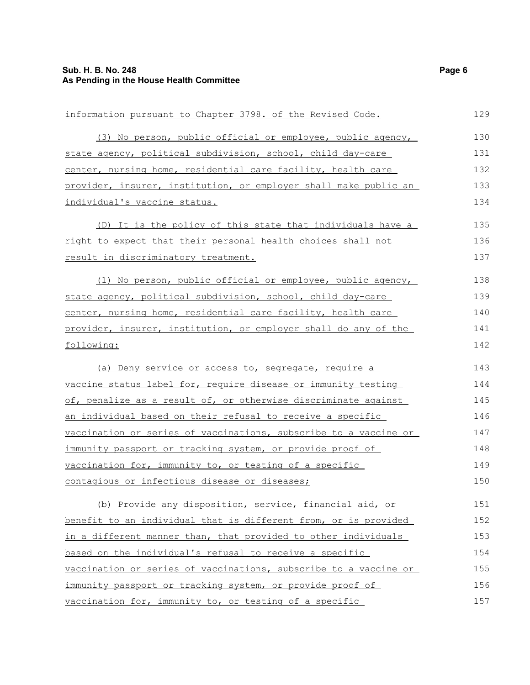| information pursuant to Chapter 3798. of the Revised Code.       | 129 |
|------------------------------------------------------------------|-----|
| (3) No person, public official or employee, public agency,       | 130 |
| state agency, political subdivision, school, child day-care      | 131 |
| center, nursing home, residential care facility, health care     | 132 |
| provider, insurer, institution, or employer shall make public an | 133 |
| individual's vaccine status.                                     | 134 |
| (D) It is the policy of this state that individuals have a       | 135 |
| right to expect that their personal health choices shall not     | 136 |
| result in discriminatory treatment.                              | 137 |
| (1) No person, public official or employee, public agency,       | 138 |
| state agency, political subdivision, school, child day-care      | 139 |
| center, nursing home, residential care facility, health care     | 140 |
| provider, insurer, institution, or employer shall do any of the  | 141 |
| following:                                                       | 142 |
| (a) Deny service or access to, segregate, require a              | 143 |
| vaccine status label for, require disease or immunity testing    | 144 |
| of, penalize as a result of, or otherwise discriminate against   | 145 |
| an individual based on their refusal to receive a specific       | 146 |
| vaccination or series of vaccinations, subscribe to a vaccine or | 147 |
| immunity passport or tracking system, or provide proof of        | 148 |
| vaccination for, immunity to, or testing of a specific           | 149 |
| contagious or infectious disease or diseases;                    | 150 |
| (b) Provide any disposition, service, financial aid, or          | 151 |
| benefit to an individual that is different from, or is provided  | 152 |
| in a different manner than, that provided to other individuals   | 153 |
| based on the individual's refusal to receive a specific          | 154 |
| vaccination or series of vaccinations, subscribe to a vaccine or | 155 |
| immunity passport or tracking system, or provide proof of        | 156 |
| vaccination for, immunity to, or testing of a specific           | 157 |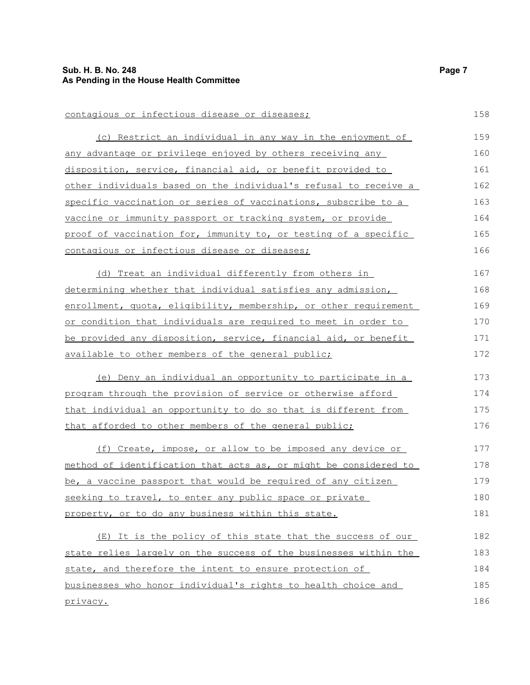| contagious or infectious disease or diseases;                    | 158 |
|------------------------------------------------------------------|-----|
| (c) Restrict an individual in any way in the enjoyment of        | 159 |
| any advantage or privilege enjoyed by others receiving any       | 160 |
| disposition, service, financial aid, or benefit provided to      | 161 |
| other individuals based on the individual's refusal to receive a | 162 |
| specific vaccination or series of vaccinations, subscribe to a   | 163 |
| vaccine or immunity passport or tracking system, or provide      | 164 |
| proof of vaccination for, immunity to, or testing of a specific  | 165 |
| contagious or infectious disease or diseases;                    | 166 |
| (d) Treat an individual differently from others in               | 167 |
| determining whether that individual satisfies any admission,     | 168 |
| enrollment, quota, eligibility, membership, or other requirement | 169 |
| or condition that individuals are required to meet in order to   | 170 |
| be provided any disposition, service, financial aid, or benefit  | 171 |
| available to other members of the general public;                | 172 |
| (e) Deny an individual an opportunity to participate in a        | 173 |
| program through the provision of service or otherwise afford     | 174 |
| that individual an opportunity to do so that is different from   | 175 |
| that afforded to other members of the general public;            | 176 |
| (f) Create, impose, or allow to be imposed any device or         | 177 |
| method of identification that acts as, or might be considered to | 178 |
| be, a vaccine passport that would be required of any citizen     | 179 |
| seeking to travel, to enter any public space or private          | 180 |
| property, or to do any business within this state.               | 181 |
| (E) It is the policy of this state that the success of our       | 182 |
| state relies largely on the success of the businesses within the | 183 |
| state, and therefore the intent to ensure protection of          | 184 |
| businesses who honor individual's rights to health choice and    | 185 |
| privacy.                                                         | 186 |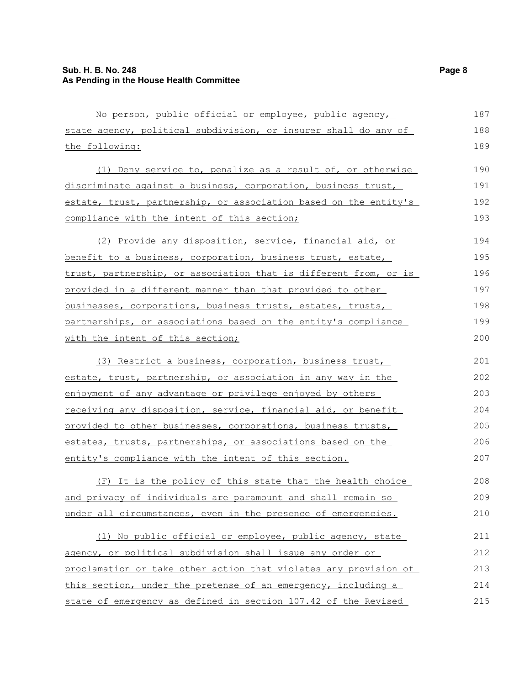| No person, public official or employee, public agency,           | 187 |
|------------------------------------------------------------------|-----|
| state agency, political subdivision, or insurer shall do any of  | 188 |
| the following:                                                   | 189 |
| (1) Deny service to, penalize as a result of, or otherwise       | 190 |
| discriminate against a business, corporation, business trust,    | 191 |
| estate, trust, partnership, or association based on the entity's | 192 |
| compliance with the intent of this section;                      | 193 |
| (2) Provide any disposition, service, financial aid, or          | 194 |
| benefit to a business, corporation, business trust, estate,      | 195 |
| trust, partnership, or association that is different from, or is | 196 |
| provided in a different manner than that provided to other       | 197 |
| businesses, corporations, business trusts, estates, trusts,      | 198 |
| partnerships, or associations based on the entity's compliance   | 199 |
| with the intent of this section;                                 | 200 |
| (3) Restrict a business, corporation, business trust,            | 201 |
| estate, trust, partnership, or association in any way in the     | 202 |
| enjoyment of any advantage or privilege enjoyed by others        | 203 |
| receiving any disposition, service, financial aid, or benefit    | 204 |
| provided to other businesses, corporations, business trusts,     | 205 |
| estates, trusts, partnerships, or associations based on the      | 206 |
| entity's compliance with the intent of this section.             | 207 |
| (F) It is the policy of this state that the health choice        | 208 |
| and privacy of individuals are paramount and shall remain so     | 209 |
| under all circumstances, even in the presence of emergencies.    | 210 |
| (1) No public official or employee, public agency, state         | 211 |
| agency, or political subdivision shall issue any order or        | 212 |
| proclamation or take other action that violates any provision of | 213 |
| this section, under the pretense of an emergency, including a    | 214 |
| state of emergency as defined in section 107.42 of the Revised   | 215 |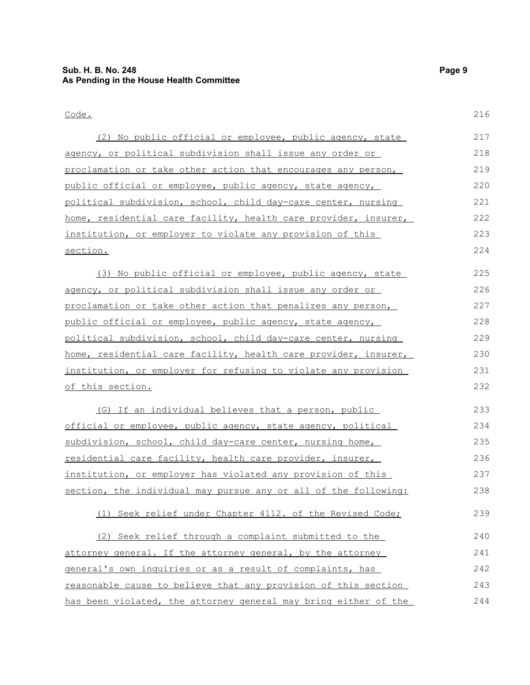| Code.                                                           | 216 |
|-----------------------------------------------------------------|-----|
| (2) No public official or employee, public agency, state        | 217 |
| agency, or political subdivision shall issue any order or       | 218 |
| proclamation or take other action that encourages any person,   | 219 |
| public official or employee, public agency, state agency,       | 220 |
| political subdivision, school, child day-care center, nursing   | 221 |
| home, residential care facility, health care provider, insurer, | 222 |
| institution, or employer to violate any provision of this       | 223 |
| section.                                                        | 224 |
| (3) No public official or employee, public agency, state        | 225 |
| agency, or political subdivision shall issue any order or       | 226 |
| proclamation or take other action that penalizes any person,    | 227 |
| public official or employee, public agency, state agency,       | 228 |
| political subdivision, school, child day-care center, nursing   | 229 |
| home, residential care facility, health care provider, insurer, | 230 |
| institution, or employer for refusing to violate any provision  | 231 |
| of this section.                                                | 232 |
| (G) If an individual believes that a person, public             | 233 |
| official or employee, public agency, state agency, political    | 234 |
| subdivision, school, child day-care center, nursing home,       | 235 |
| residential care facility, health care provider, insurer,       | 236 |
| institution, or employer has violated any provision of this     | 237 |
| section, the individual may pursue any or all of the following: | 238 |
| (1) Seek relief under Chapter 4112. of the Revised Code;        | 239 |
| (2) Seek relief through a complaint submitted to the            | 240 |
| attorney general. If the attorney general, by the attorney      | 241 |
| general's own inquiries or as a result of complaints, has       | 242 |
| reasonable cause to believe that any provision of this section  | 243 |
| has been violated, the attorney general may bring either of the | 244 |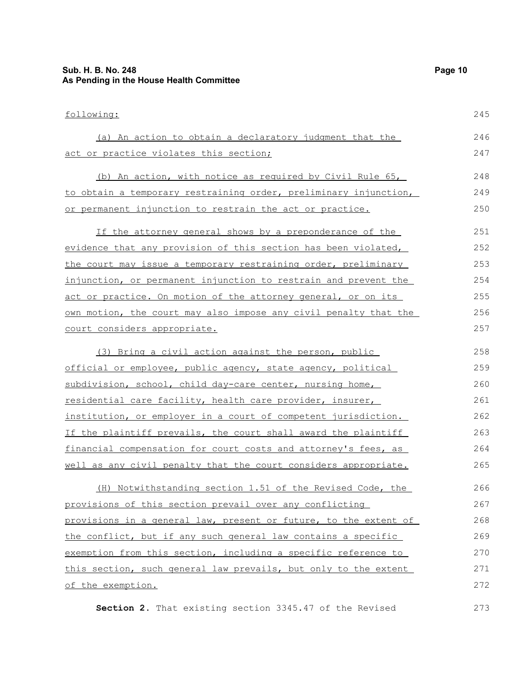| following:                                                            | 245 |
|-----------------------------------------------------------------------|-----|
| (a) An action to obtain a declaratory judgment that the               | 246 |
| act or practice violates this section;                                | 247 |
| (b) An action, with notice as required by Civil Rule 65,              | 248 |
| to obtain a temporary restraining order, preliminary injunction,      | 249 |
| or permanent injunction to restrain the act or practice.              | 250 |
| If the attorney general shows by a preponderance of the               | 251 |
| evidence that any provision of this section has been violated,        | 252 |
| <u>the court may issue a temporary restraining order, preliminary</u> | 253 |
| injunction, or permanent injunction to restrain and prevent the       | 254 |
| act or practice. On motion of the attorney general, or on its         | 255 |
| own motion, the court may also impose any civil penalty that the      | 256 |
| court considers appropriate.                                          | 257 |
| (3) Bring a civil action against the person, public                   | 258 |
| <u>official or employee, public agency, state agency, political</u>   | 259 |
| subdivision, school, child day-care center, nursing home,             | 260 |
| residential care facility, health care provider, insurer,             | 261 |
| institution, or employer in a court of competent jurisdiction.        | 262 |
| If the plaintiff prevails, the court shall award the plaintiff        | 263 |
| financial compensation for court costs and attorney's fees, as        | 264 |
| well as any civil penalty that the court considers appropriate.       | 265 |
| (H) Notwithstanding section 1.51 of the Revised Code, the             | 266 |
| provisions of this section prevail over any conflicting               | 267 |
| provisions in a general law, present or future, to the extent of      | 268 |
| the conflict, but if any such general law contains a specific         | 269 |
| exemption from this section, including a specific reference to        | 270 |
| this section, such general law prevails, but only to the extent       | 271 |
| of the exemption.                                                     | 272 |

**Section 2.** That existing section 3345.47 of the Revised

273